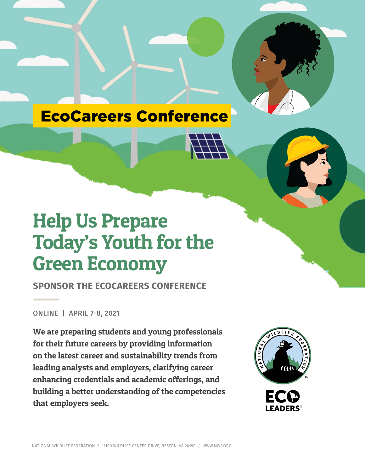



**SPONSOR THE ECOCAREERS CONFERENCE**

ONLINE | APRIL 7-8, 2021

We are preparing students and young professionals for their future careers by providing information on the latest career and sustainability trends from leading analysts and employers, clarifying career enhancing credentials and academic offerings, and building a better understanding of the competencies that employers seek.

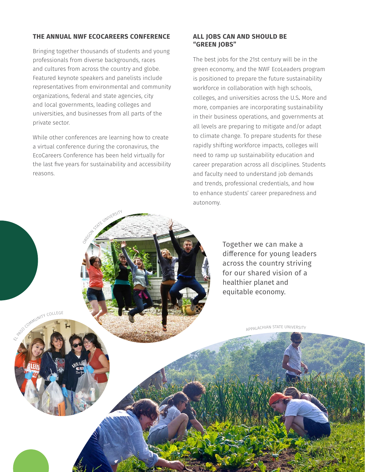## **THE ANNUAL NWF ECOCAREERS CONFERENCE**

Bringing together thousands of students and young professionals from diverse backgrounds, races and cultures from across the country and globe. Featured keynote speakers and panelists include representatives from environmental and community organizations, federal and state agencies, city and local governments, leading colleges and universities, and businesses from all parts of the private sector.

While other conferences are learning how to create a virtual conference during the coronavirus, the EcoCareers Conference has been held virtually for the last five years for sustainability and accessibility reasons.

OREGON STATE UNIVERSITY

EL PASO COMMUNITY COLLEGE

#### **ALL JOBS CAN AND SHOULD BE "GREEN JOBS"**

The best jobs for the 21st century will be in the green economy, and the NWF EcoLeaders program is positioned to prepare the future sustainability workforce in collaboration with high schools, colleges, and universities across the U.S. More and more, companies are incorporating sustainability in their business operations, and governments at all levels are preparing to mitigate and/or adapt to climate change. To prepare students for these rapidly shifting workforce impacts, colleges will need to ramp up sustainability education and career preparation across all disciplines. Students and faculty need to understand job demands and trends, professional credentials, and how to enhance students' career preparedness and autonomy.

> Together we can make a difference for young leaders across the country striving for our shared vision of a healthier planet and equitable economy.

> > APPALACHIAN STATE UNIVERSITY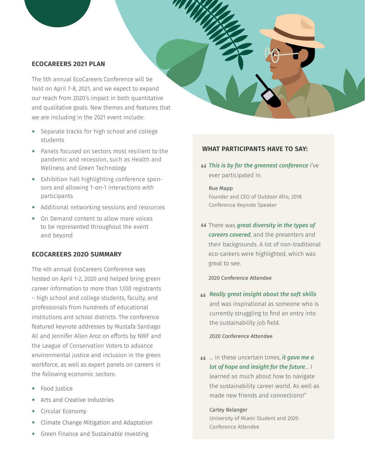### **ECOCAREERS 2021 PLAN**

The 5th annual EcoCareers Conference will be held on April 7-8, 2021, and we expect to expand our reach from 2020's impact in both quantitative and qualitative goals. New themes and features that we are including in the 2021 event include:

- Separate tracks for high school and college students
- ∞ Panels focused on sectors most resilient to the pandemic and recession, such as Health and Wellness and Green Technology
- ∞ Exhibition hall highlighting conference sponsors and allowing 1-on-1 interactions with participants
- ∞ Additional networking sessions and resources
- On Demand content to allow more voices to be represented throughout the event and beyond

### **ECOCAREERS 202O SUMMARY**

The 4th annual EcoCareers Conference was hosted on April 1-2, 2020 and helped bring green career information to more than 1,100 registrants – high school and college students, faculty, and professionals from hundreds of educational institutions and school districts. The conference featured keynote addresses by Mustafa Santiago Ali and Jennifer Allen Aroz on efforts by NWF and the League of Conservation Voters to advance environmental justice and inclusion in the green workforce, as well as expert panels on careers in the following economic sectors:

- ∞ Food Justice
- ∞ Arts and Creative Industries
- ∞ Circular Economy
- ∞ Climate Change Mitigation and Adaptation
- ∞ Green Finance and Sustainable Investing

# **WHAT PARTICIPANTS HAVE TO SAY:**

*This is by far the greenest conference* I've<br>ever participated in ever participated in.

Rue Mapp Founder and CEO of Outdoor Afro, 2018 Conference Keynote Speaker

**"** There was *great diversity in the types of careers covered*, and the presenters and their backgrounds. A lot of non-traditional eco-careers were highlighted, which was great to see.

2020 Conference Attendee

" *Really great insight about the soft skills*  and was inspirational as someone who is currently struggling to find an entry into the sustainability job field.

2020 Conference Attendee

" … in these uncertain times, *it gave me a lot of hope and insight for the future*… I learned so much about how to navigate the sustainability career world. As well as made new friends and connections!"

#### Carley Belanger

University of Miami Student and 2020 Conference Attendee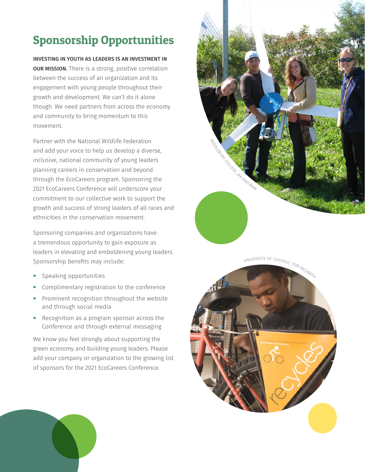# Sponsorship Opportunities

**INVESTING IN YOUTH AS LEADERS IS AN INVESTMENT IN OUR MISSION.** There is a strong, positive correlation between the success of an organization and its engagement with young people throughout their growth and development. We can't do it alone though. We need partners from across the economy and community to bring momentum to this movement.

Partner with the National Wildlife Federation and add your voice to help us develop a diverse, inclusive, national community of young leaders planning careers in conservation and beyond through the EcoCareers program. Sponsoring the 2021 EcoCareers Conference will underscore your commitment to our collective work to support the growth and success of strong leaders of all races and ethnicities in the conservation movement.

Sponsoring companies and organizations have a tremendous opportunity to gain exposure as leaders in elevating and emboldening young leaders. Sponsorship benefits may include:

- Speaking opportunities
- Complimentary registration to the conference
- Prominent recognition throughout the website and through social media
- Recognition as a program sponsor across the Conference and through external messaging

We know you feel strongly about supporting the green economy and building young leaders. Please add your company or organization to the growing list of sponsors for the 2021 EcoCareers Conference.